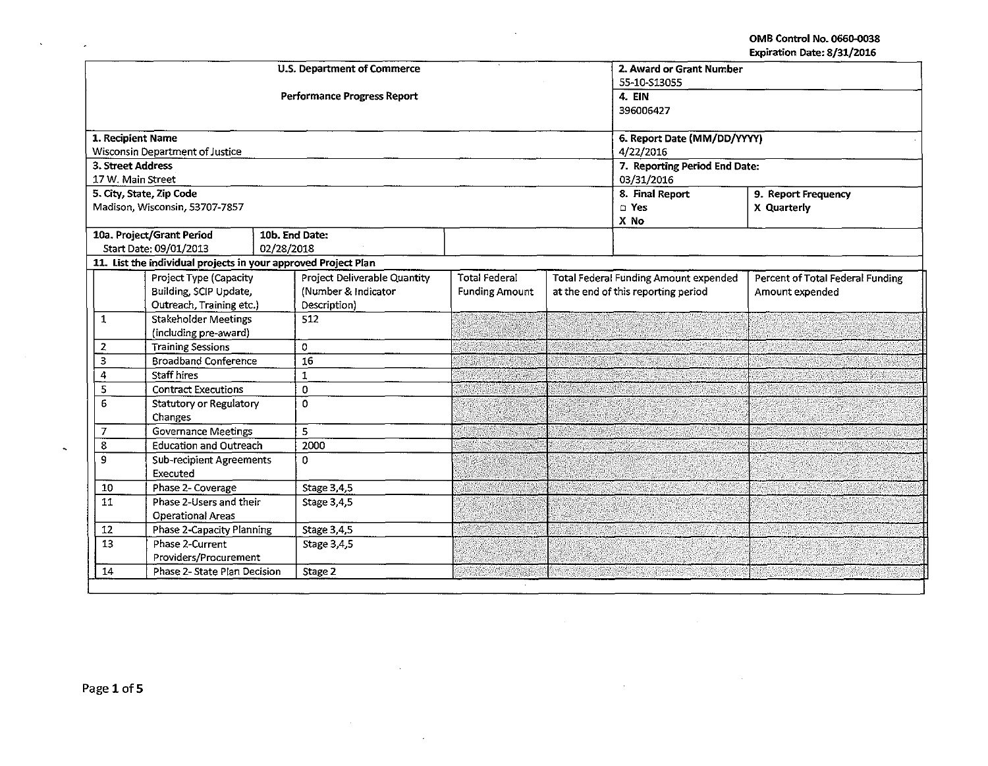| 55-10-S13055<br><b>Performance Progress Report</b><br>4. EIN                                                                   |                                  |
|--------------------------------------------------------------------------------------------------------------------------------|----------------------------------|
|                                                                                                                                |                                  |
|                                                                                                                                |                                  |
| 396006427                                                                                                                      |                                  |
| 1. Recipient Name<br>6. Report Date (MM/DD/YYYY)                                                                               |                                  |
| <b>Wisconsin Department of Justice</b><br>4/22/2016                                                                            |                                  |
| 3. Street Address<br>7. Reporting Period End Date:                                                                             |                                  |
| 17 W. Main Street<br>03/31/2016                                                                                                |                                  |
| 8. Final Report<br>5. City, State, Zip Code                                                                                    | 9. Report Frequency              |
| Madison, Wisconsin, 53707-7857<br>$\square$ Yes                                                                                | X Quarterly                      |
| X No                                                                                                                           |                                  |
| 10a. Project/Grant Period<br>10b. End Date:                                                                                    |                                  |
| Start Date: 09/01/2013<br>02/28/2018                                                                                           |                                  |
| 11. List the individual projects in your approved Project Plan                                                                 |                                  |
| <b>Total Federal</b><br>Project Type (Capacity<br>Project Deliverable Quantity<br><b>Total Federal Funding Amount expended</b> | Percent of Total Federal Funding |
| Building, SCIP Update,<br>(Number & Indicator<br><b>Funding Amount</b><br>at the end of this reporting period                  | Amount expended                  |
| Outreach, Training etc.)<br>Description)<br>Stakeholder Meetings<br>$\mathbf{1}$<br>512                                        |                                  |
| (including pre-award)                                                                                                          |                                  |
| <b>Training Sessions</b><br>$\Omega$<br>2                                                                                      |                                  |
| $\overline{16}$<br>$\mathsf 3$<br><b>Broadband Conference</b>                                                                  |                                  |
| <b>Staff hires</b><br>4<br>$\mathbf{1}$                                                                                        |                                  |
| <b>Contract Executions</b><br>5<br>$\Omega$                                                                                    |                                  |
| 6<br>$\Omega$<br>Statutory or Regulatory                                                                                       |                                  |
| Changes                                                                                                                        |                                  |
| <b>Governance Meetings</b><br>5<br>$\overline{7}$                                                                              |                                  |
| 2000<br>8<br><b>Education and Outreach</b>                                                                                     |                                  |
| 9<br><b>Sub-recipient Agreements</b><br>0                                                                                      |                                  |
| Executed                                                                                                                       |                                  |
| Phase 2- Coverage<br>Stage 3,4,5<br>10                                                                                         |                                  |
| Phase 2-Users and their<br>11<br>Stage 3.4,5                                                                                   |                                  |
| <b>Operational Areas</b>                                                                                                       |                                  |
| 12<br>Phase 2-Capacity Planning<br>Stage 3,4,5                                                                                 |                                  |
| 13<br>Phase 2-Current<br>Stage 3,4,5                                                                                           |                                  |
| Providers/Procurement                                                                                                          |                                  |
| 14<br>Phase 2- State Plan Decision<br>Stage 2                                                                                  |                                  |

 $\overline{\phantom{a}}$ 

 $\lambda$ 

 $\hat{\mathcal{A}}$ 

 $\sim$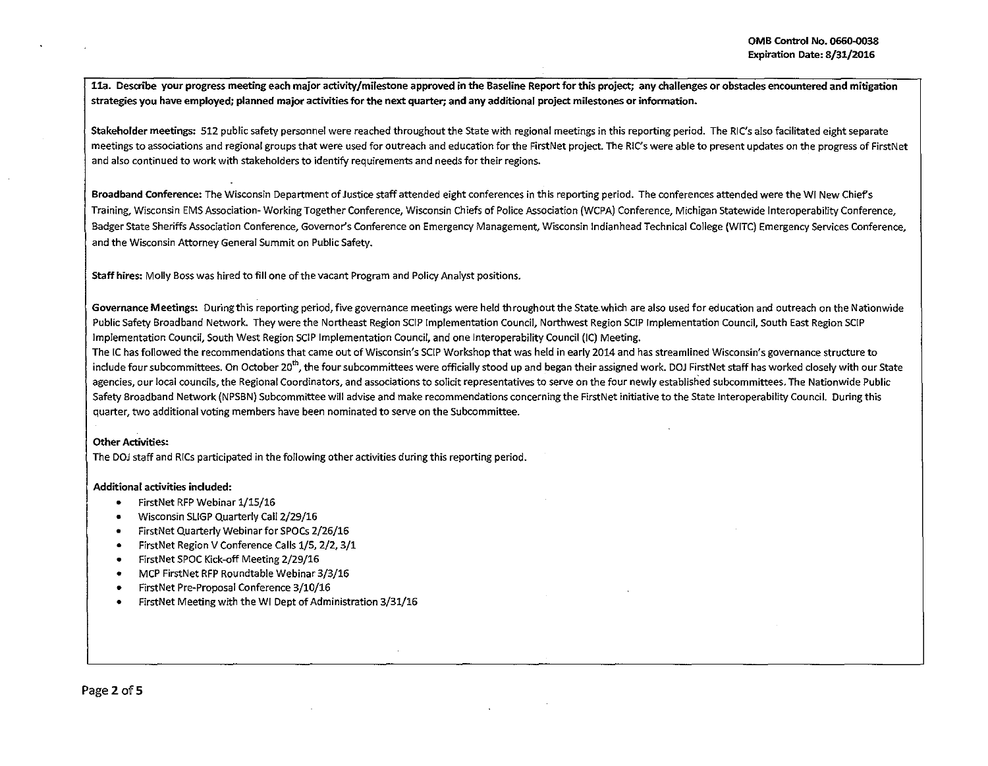lla. Describe your progress meeting each major activity/milestone approved in the Baseline Report for this project; any challenges or obstacles encountered and mitigation strategies you have employed; planned major activities for the next quarter; and any additional project milestones or information.

Stakeholder meetings: 512 public safety personnel were reached throughout the State with regional meetings in this reporting period. The RIC's also facilitated eight separate meetings to associations and regional groups that were used for outreach and education for the FirstNet project. The RIC's were able to present updates on the progress of FirstNet and also continued to work with stakeholders to identify requirements and needs for their regions.

Broadband Conference: The Wisconsin Department of Justice staff attended eight conferences in this reporting period. The conferences attended were the WI New Chiefs Training, Wisconsin EMS Association- Working Together Conference, Wisconsin Chiefs of Police Association (WCPA) Conference, Michigan Statewide lnteroperability Conference, Badger State Sheriffs Association Conference, Governor's Conference on Emergency Management, Wisconsin lndianhead Technical College (WITC) Emergency Services Conference, and the Wisconsin Attorney General Summit on Public Safety.

Staff hires: Molly Boss was hired to fill one of the vacant Program and Policy Analyst positions.

Governance Meetings: During this reporting period, five governance meetings were held throughout the State. which are also used for education and outreach on the Nationwide Public Safety Broadband Network. They were the Northeast Region SCIP Implementation Council, Northwest Region SCIP Implementation Council, South East Region SCIP Implementation Council, South West Region SCIP Implementation Council, and one Interoperability Council (IC) Meeting.

The IC has followed the recommendations that came out of Wisconsin's SCIP Workshop that was held in early 2014 and has streamlined Wisconsin's governance structure to include four subcommittees. On October 20<sup>th</sup>, the four subcommittees were officially stood up and began their assigned work. DOJ FirstNet staff has worked closely with our State agencies, our local councils, the Regional Coordinators, and associations to solicit representatives to serve on the four newly established subcommittees. The Nationwide Public Safety Broadband Network (NPSBN) Subcommittee will advise and make recommendations concerning the FirstNet initiative to the State Interoperability Council. During this quarter, two additional voting members have been nominated to serve on the Subcommittee.

# Other Activities:

The DOJ staff and RICs participated in the following other activities during this reporting period.

# Additional activities included:

- FirstNet RFP Webinar 1/15/16
- Wisconsin SLIGP Quarterly Call 2/29/16
- FirstNet Quarterly Webinar for SPOCs 2/26/16
- FirstNet Region V Conference Calls 1/5, 2/2, 3/1
- FirstNet SPOC Kick-off Meeting 2/29/16
- MCP FirstNet RFP Roundtable Webinar 3/3/16
- First Net Pre-Proposal Conference 3/10/16
- FirstNet Meeting with the WI Dept of Administration 3/31/16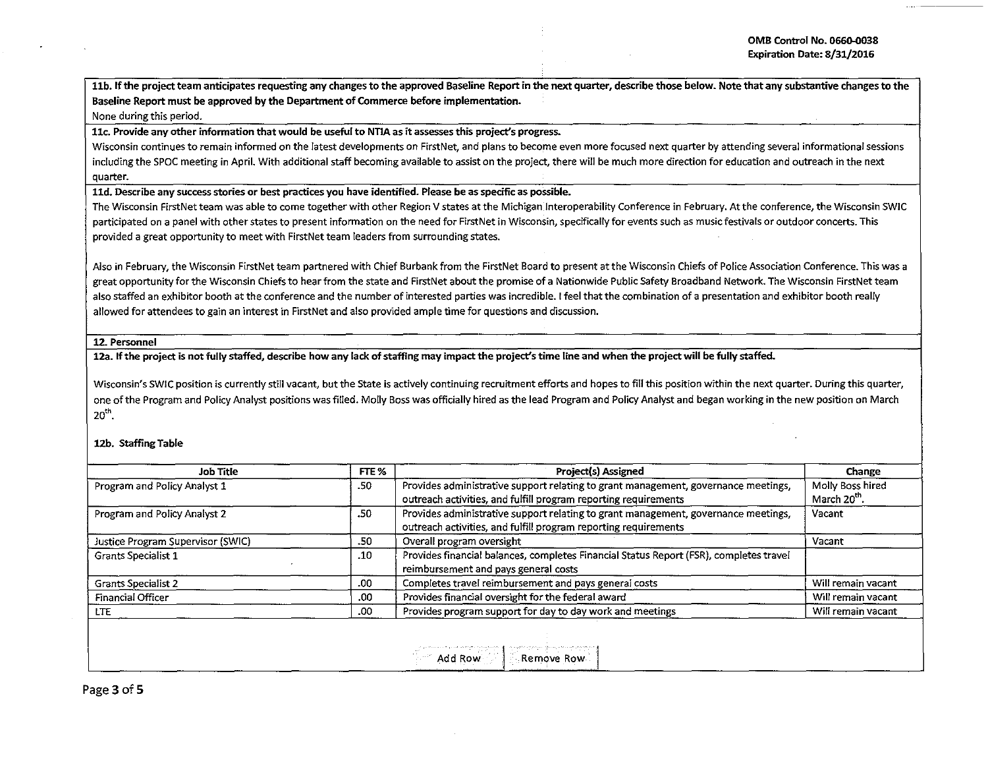11b. If the project team anticipates requesting any changes to the approved Baseline Report in the next quarter, describe those below. Note that any substantive changes to the Baseline Report must be approved by the Department of Commerce before implementation.

### None during this period.

11c. Provide any other information that would be useful to NTIA as it assesses this project's progress.

Wisconsin continues to remain informed on the latest developments on FirstNet, and plans to become even more focused next quarter by attending several informational sessions including the SPOC meeting in April. With additional staff becoming available to assist on the project, there will be much more direction for education and outreach in the next quarter.

lld. Describe any success stories or best practices you have identified. Please be as specific as possible.

The Wisconsin FirstNet team was able to come together with other Region V states at the Michigan Jnteroperability Conference in February. At the conference, the Wisconsin SWIC participated on a panel with other states to present information on the need for FirstNet in Wisconsin, specifically for events such as music festivals or outdoor concerts. This provided a great opportunity to meet with FirstNet team leaders from surrounding states.

Also in February, the Wisconsin FirstNet team partnered with Chief Burbank from the FirstNet Board to present at the Wisconsin Chiefs of Police Association Conference. This was a great opportunity for the Wisconsin Chiefs to hear from the state and FirstNet about the promise of a Nationwide Public Safety Broadband Network. The Wisconsin FirstNet team also staffed an exhibitor booth at the conference and the number of interested parties was incredible. I feel that the combination of a presentation and exhibitor booth really allowed for attendees to gain an interest in RrstNet and also provided ample time for questions and discussion.

### 12. Personnel

12a. If the project is not fully staffed, describe how any lack of staffing may impact the project's time line and when the project will be fully staffed.

Wisconsin's SWIC position is currently still vacant, but the State is actively continuing recruitment efforts and hopes to fill this position within the next quarter. During this quarter, one of the Program and Policy Analyst positions was filled. Molly Boss was officially hired as the lead Program and Policy Analyst and began working in the new position on March 20th.

# 12b. Staffing Table

| FTE % | Project(s) Assigned                                                                                                                                   | Change                                                          |
|-------|-------------------------------------------------------------------------------------------------------------------------------------------------------|-----------------------------------------------------------------|
| .50   | Provides administrative support relating to grant management, governance meetings,                                                                    | Molly Boss hired<br>March 20th.                                 |
| .50   | Provides administrative support relating to grant management, governance meetings,<br>outreach activities, and fulfill program reporting requirements | Vacant                                                          |
| .50   | Overall program oversight                                                                                                                             | Vacant                                                          |
| .10   | Provides financial balances, completes Financial Status Report (FSR), completes travel<br>reimbursement and pays general costs                        |                                                                 |
| .00   | Completes travel reimbursement and pays general costs                                                                                                 | Will remain vacant                                              |
| .00   | Provides financial oversight for the federal award                                                                                                    | Will remain vacant                                              |
| .00   | Provides program support for day to day work and meetings                                                                                             | Will remain vacant                                              |
|       |                                                                                                                                                       | outreach activities, and fulfill program reporting requirements |

| Remove Row<br>. 7<br>Add Row<br>and the con- |
|----------------------------------------------|
|                                              |
|                                              |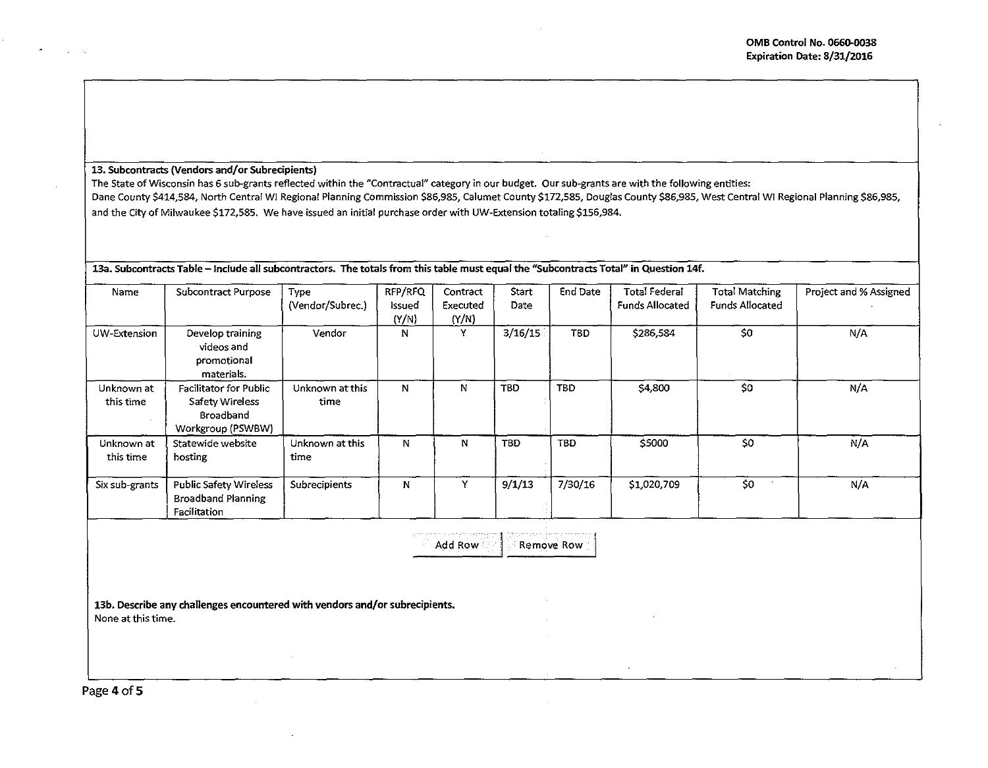### 13. Subcontracts (Vendors and/or Subrecipients)

The State of Wisconsin has 6 sub-grants reflected within the "Contractual" category in our budget. Our sub-grants are with the following entities: Dane County \$414,584, North Central WI Regional Planning Commission \$86,985, Calumet County \$172,585, Douglas County \$86,985, West Central WI Regional Planning \$86,985, and the City of Milwaukee \$172,585. We have issued an initial purchase order with UW-Extension totaling \$156,984.

 $\mid$  13a. Subcontracts Table – Include all subcontractors. The totals from this table must equal the "Subcontracts Total" in Question 14f.

| Name           | Subcontract Purpose           | Type             | RFP/RFQ     | Contract | Start      | End Date   | <b>Total Federal</b>   | <b>Total Matching</b>  | Project and % Assigned |
|----------------|-------------------------------|------------------|-------------|----------|------------|------------|------------------------|------------------------|------------------------|
|                |                               | (Vendor/Subrec.) | Issued      | Executed | Date       |            | <b>Funds Allocated</b> | <b>Funds Allocated</b> |                        |
|                |                               |                  | (Y/N)       | (Y/N)    |            |            |                        |                        |                        |
| UW-Extension   | Develop training              | Vendor           | N           | Y        | 3/16/15    | <b>TBD</b> | \$286,584              | \$0                    | N/A                    |
|                | videos and                    |                  |             |          |            |            |                        |                        |                        |
|                | promotional                   |                  |             |          |            |            |                        |                        |                        |
|                | materials.                    |                  |             |          |            |            |                        |                        |                        |
| Unknown at     | <b>Facilitator for Public</b> | Unknown at this  | $\mathbf N$ | N        | <b>TBD</b> | <b>TBD</b> | \$4,800                | SO.                    | N/A                    |
| this time      | Safety Wireless               | time             |             |          |            |            |                        |                        |                        |
|                | Broadband                     |                  |             |          |            |            |                        |                        |                        |
|                | Workgroup (PSWBW)             |                  |             |          |            |            |                        |                        |                        |
| Unknown at     | Statewide website             | Unknown at this  | N           | N        | <b>TBD</b> | <b>TBD</b> | \$5000                 | \$0                    | N/A                    |
| this time      | hosting                       | time             |             |          |            |            |                        |                        |                        |
|                |                               |                  |             |          | 9/1/13     | 7/30/16    |                        | \$0                    |                        |
| Six sub-grants | <b>Public Safety Wireless</b> | Subrecipients    | N           |          |            |            | \$1,020,709            |                        | N/A                    |
|                | <b>Broadband Planning</b>     |                  |             |          |            |            |                        |                        |                        |
|                | Facilitation                  |                  |             |          |            |            |                        |                        |                        |

Add Row  $\left| \cdot \right|$  Remove Row

13b. Describe any challenges encountered with vendors and/or subrecipients. None at this time.